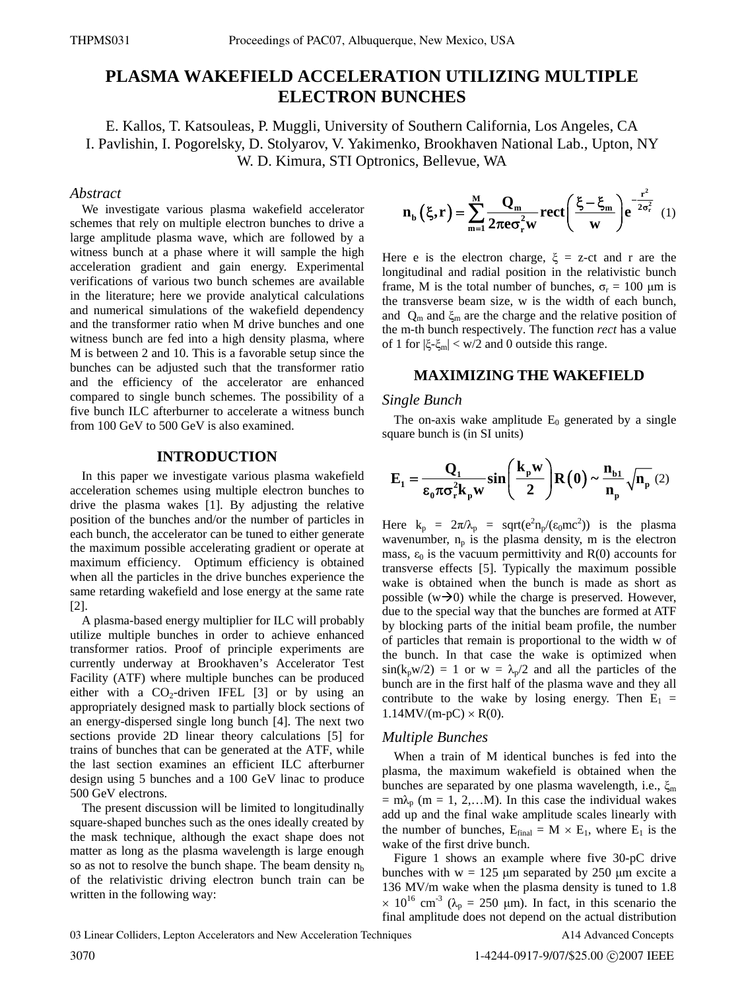# **PLASMA WAKEFIELD ACCELERATION UTILIZING MULTIPLE ELECTRON BUNCHES**

E. Kallos, T. Katsouleas, P. Muggli, University of Southern California, Los Angeles, CA I. Pavlishin, I. Pogorelsky, D. Stolyarov, V. Yakimenko, Brookhaven National Lab., Upton, NY W. D. Kimura, STI Optronics, Bellevue, WA

# *Abstract*

We investigate various plasma wakefield accelerator schemes that rely on multiple electron bunches to drive a large amplitude plasma wave, which are followed by a witness bunch at a phase where it will sample the high acceleration gradient and gain energy. Experimental verifications of various two bunch schemes are available in the literature; here we provide analytical calculations and numerical simulations of the wakefield dependency and the transformer ratio when M drive bunches and one witness bunch are fed into a high density plasma, where M is between 2 and 10. This is a favorable setup since the bunches can be adjusted such that the transformer ratio and the efficiency of the accelerator are enhanced compared to single bunch schemes. The possibility of a five bunch ILC afterburner to accelerate a witness bunch from 100 GeV to 500 GeV is also examined.

# **INTRODUCTION**

In this paper we investigate various plasma wakefield acceleration schemes using multiple electron bunches to drive the plasma wakes [1]. By adjusting the relative position of the bunches and/or the number of particles in each bunch, the accelerator can be tuned to either generate the maximum possible accelerating gradient or operate at maximum efficiency. Optimum efficiency is obtained when all the particles in the drive bunches experience the same retarding wakefield and lose energy at the same rate [2].

A plasma-based energy multiplier for ILC will probably utilize multiple bunches in order to achieve enhanced transformer ratios. Proof of principle experiments are currently underway at Brookhaven's Accelerator Test Facility (ATF) where multiple bunches can be produced either with a  $CO<sub>2</sub>$ -driven IFEL [3] or by using an appropriately designed mask to partially block sections of an energy-dispersed single long bunch [4]. The next two sections provide 2D linear theory calculations [5] for trains of bunches that can be generated at the ATF, while the last section examines an efficient ILC afterburner design using 5 bunches and a 100 GeV linac to produce 500 GeV electrons.

The present discussion will be limited to longitudinally square-shaped bunches such as the ones ideally created by the mask technique, although the exact shape does not matter as long as the plasma wavelength is large enough so as not to resolve the bunch shape. The beam density  $n_b$ of the relativistic driving electron bunch train can be written in the following way:

$$
n_{b}(\xi,r) = \sum_{m=1}^{M} \frac{Q_{m}}{2\pi e \sigma_{r}^{2}w} \, \text{rect}\left(\frac{\xi - \xi_{m}}{w}\right) e^{-\frac{r^{2}}{2\sigma_{r}^{2}}}
$$
(1)

Here e is the electron charge,  $\xi$  = z-ct and r are the longitudinal and radial position in the relativistic bunch frame, M is the total number of bunches,  $\sigma_r = 100 \mu m$  is the transverse beam size, w is the width of each bunch, and  $Q_m$  and  $\xi_m$  are the charge and the relative position of the m-th bunch respectively. The function *rect* has a value of 1 for  $|\xi-\xi_m| < w/2$  and 0 outside this range.

# **MAXIMIZING THE WAKEFIELD**

#### *Single Bunch*

The on-axis wake amplitude  $E_0$  generated by a single square bunch is (in SI units)

$$
\mathbf{E}_{1} = \frac{\mathbf{Q}_{1}}{\varepsilon_{0}\pi\sigma_{r}^{2}\mathbf{k}_{p}\mathbf{w}}\sin\left(\frac{\mathbf{k}_{p}\mathbf{w}}{2}\right)\mathbf{R}\left(0\right) \sim \frac{\mathbf{n}_{b1}}{\mathbf{n}_{p}}\sqrt{\mathbf{n}_{p}}\left(2\right)
$$

Here  $k_p = 2\pi/\lambda_p = sqrt(e^2n_p/(ε_0mc^2))$  is the plasma wavenumber,  $n_p$  is the plasma density, m is the electron mass,  $\varepsilon_0$  is the vacuum permittivity and R(0) accounts for transverse effects [5]. Typically the maximum possible wake is obtained when the bunch is made as short as possible  $(w\rightarrow 0)$  while the charge is preserved. However, due to the special way that the bunches are formed at ATF by blocking parts of the initial beam profile, the number of particles that remain is proportional to the width w of the bunch. In that case the wake is optimized when  $sin(k_p w/2) = 1$  or  $w = \lambda_p/2$  and all the particles of the bunch are in the first half of the plasma wave and they all contribute to the wake by losing energy. Then  $E_1$  =  $1.14$ MV/(m-pC)  $\times$  R(0).

### *Multiple Bunches*

When a train of M identical bunches is fed into the plasma, the maximum wakefield is obtained when the bunches are separated by one plasma wavelength, i.e.,  $\xi_m$  $=$  m $\lambda_p$  (m = 1, 2,...M). In this case the individual wakes add up and the final wake amplitude scales linearly with the number of bunches,  $E_{final} = M \times E_1$ , where  $E_1$  is the wake of the first drive bunch.

Figure 1 shows an example where five 30-pC drive bunches with  $w = 125 \mu m$  separated by 250  $\mu m$  excite a 136 MV/m wake when the plasma density is tuned to 1.8  $\times$  10<sup>16</sup> cm<sup>-3</sup> ( $\lambda_p$  = 250 µm). In fact, in this scenario the final amplitude does not depend on the actual distribution

A14 Advanced Concepts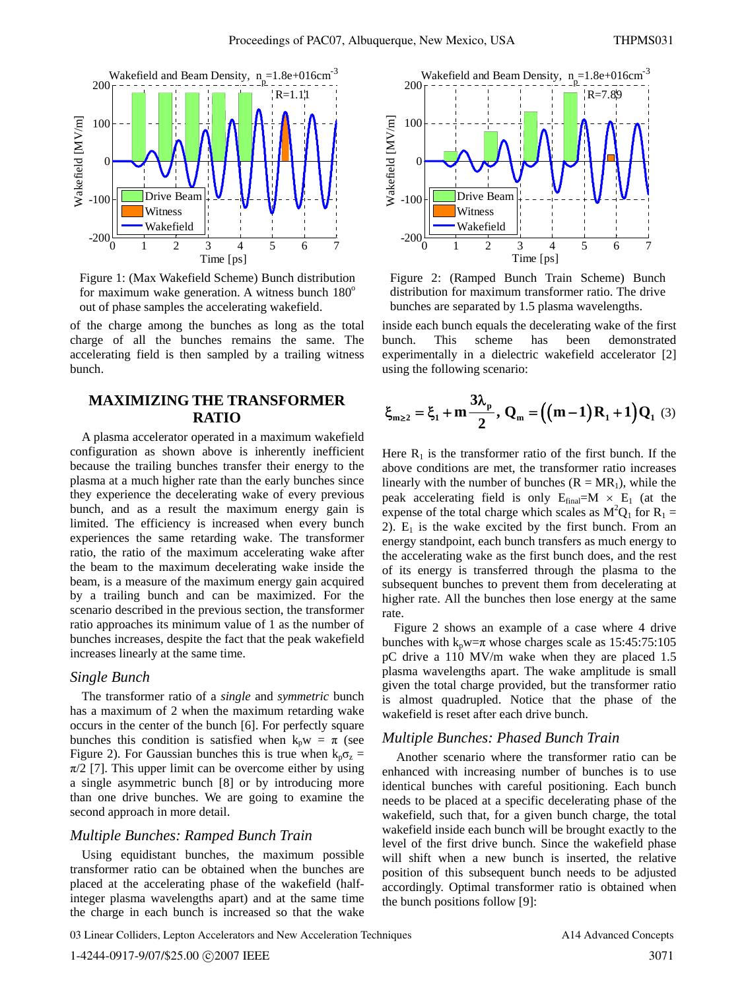

Figure 1: (Max Wakefield Scheme) Bunch distribution for maximum wake generation. A witness bunch  $180^\circ$ out of phase samples the accelerating wakefield.

of the charge among the bunches as long as the total charge of all the bunches remains the same. The accelerating field is then sampled by a trailing witness bunch.

# **MAXIMIZING THE TRANSFORMER RATIO**

A plasma accelerator operated in a maximum wakefield configuration as shown above is inherently inefficient because the trailing bunches transfer their energy to the plasma at a much higher rate than the early bunches since they experience the decelerating wake of every previous bunch, and as a result the maximum energy gain is limited. The efficiency is increased when every bunch experiences the same retarding wake. The transformer ratio, the ratio of the maximum accelerating wake after the beam to the maximum decelerating wake inside the beam, is a measure of the maximum energy gain acquired by a trailing bunch and can be maximized. For the scenario described in the previous section, the transformer ratio approaches its minimum value of 1 as the number of bunches increases, despite the fact that the peak wakefield increases linearly at the same time.

### *Single Bunch*

The transformer ratio of a *single* and *symmetric* bunch has a maximum of 2 when the maximum retarding wake occurs in the center of the bunch [6]. For perfectly square bunches this condition is satisfied when  $k_p w = \pi$  (see Figure 2). For Gaussian bunches this is true when  $k_p \sigma_z =$  $\pi/2$  [7]. This upper limit can be overcome either by using a single asymmetric bunch [8] or by introducing more than one drive bunches. We are going to examine the second approach in more detail.

#### *Multiple Bunches: Ramped Bunch Train*

Using equidistant bunches, the maximum possible transformer ratio can be obtained when the bunches are placed at the accelerating phase of the wakefield (halfinteger plasma wavelengths apart) and at the same time the charge in each bunch is increased so that the wake



Figure 2: (Ramped Bunch Train Scheme) Bunch distribution for maximum transformer ratio. The drive bunches are separated by 1.5 plasma wavelengths.

inside each bunch equals the decelerating wake of the first bunch. This scheme has been demonstrated experimentally in a dielectric wakefield accelerator [2] using the following scenario:

$$
\xi_{m\geq 2} = \xi_1 + m \frac{3\lambda_p}{2}, \, Q_m = \left( \left( m - 1 \right) R_1 + 1 \right) Q_1 \tag{3}
$$

Here  $R_1$  is the transformer ratio of the first bunch. If the above conditions are met, the transformer ratio increases linearly with the number of bunches  $(R = MR_1)$ , while the peak accelerating field is only  $E_{final}=M \times E_1$  (at the expense of the total charge which scales as  $M^2Q_1$  for  $R_1 =$ 2).  $E_1$  is the wake excited by the first bunch. From an energy standpoint, each bunch transfers as much energy to the accelerating wake as the first bunch does, and the rest of its energy is transferred through the plasma to the subsequent bunches to prevent them from decelerating at higher rate. All the bunches then lose energy at the same rate.

Figure 2 shows an example of a case where 4 drive bunches with  $k_p w = \pi$  whose charges scale as 15:45:75:105 pC drive a 110 MV/m wake when they are placed 1.5 plasma wavelengths apart. The wake amplitude is small given the total charge provided, but the transformer ratio is almost quadrupled. Notice that the phase of the wakefield is reset after each drive bunch.

### *Multiple Bunches: Phased Bunch Train*

 Another scenario where the transformer ratio can be enhanced with increasing number of bunches is to use identical bunches with careful positioning. Each bunch needs to be placed at a specific decelerating phase of the wakefield, such that, for a given bunch charge, the total wakefield inside each bunch will be brought exactly to the level of the first drive bunch. Since the wakefield phase will shift when a new bunch is inserted, the relative position of this subsequent bunch needs to be adjusted accordingly. Optimal transformer ratio is obtained when the bunch positions follow [9]: